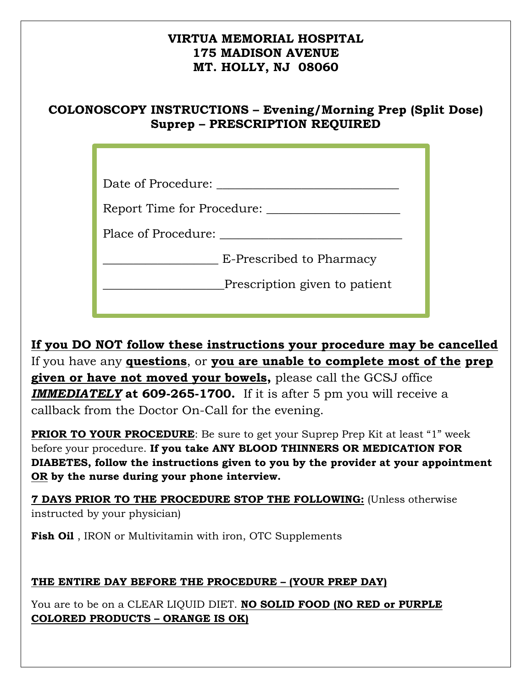### **VIRTUA MEMORIAL HOSPITAL 175 MADISON AVENUE MT. HOLLY, NJ 08060**

# **COLONOSCOPY INSTRUCTIONS – Evening/Morning Prep (Split Dose) Suprep – PRESCRIPTION REQUIRED**

| Date of Procedure:            |
|-------------------------------|
| Report Time for Procedure:    |
| Place of Procedure:           |
| E-Prescribed to Pharmacy      |
| Prescription given to patient |
|                               |

**If you DO NOT follow these instructions your procedure may be cancelled**  If you have any **questions**, or **you are unable to complete most of the prep given or have not moved your bowels,** please call the GCSJ office *IMMEDIATELY* **at 609-265-1700.** If it is after 5 pm you will receive a callback from the Doctor On-Call for the evening.

**PRIOR TO YOUR PROCEDURE:** Be sure to get your Suprep Prep Kit at least "1" week before your procedure. **If you take ANY BLOOD THINNERS OR MEDICATION FOR DIABETES, follow the instructions given to you by the provider at your appointment OR by the nurse during your phone interview.** 

**7 DAYS PRIOR TO THE PROCEDURE STOP THE FOLLOWING:** (Unless otherwise instructed by your physician)

**Fish Oil** , IRON or Multivitamin with iron, OTC Supplements

## **THE ENTIRE DAY BEFORE THE PROCEDURE – (YOUR PREP DAY)**

You are to be on a CLEAR LIQUID DIET. **NO SOLID FOOD (NO RED or PURPLE COLORED PRODUCTS – ORANGE IS OK)**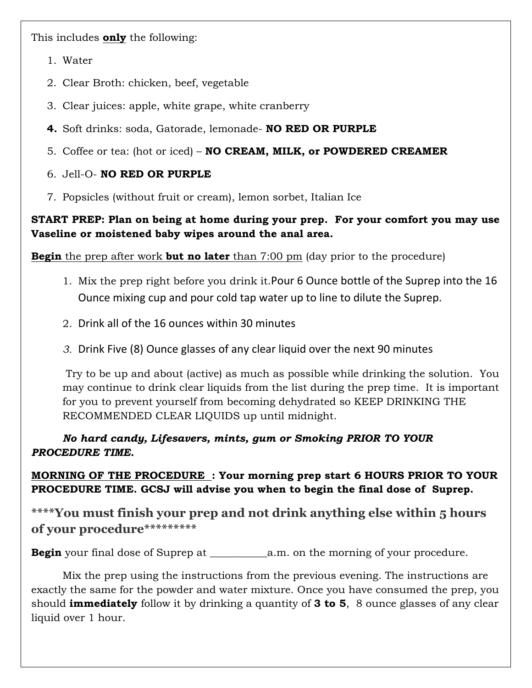This includes **only** the following:

- 1. Water
- 2. Clear Broth: chicken, beef, vegetable
- 3. Clear juices: apple, white grape, white cranberry
- **4.** Soft drinks: soda, Gatorade, lemonade- **NO RED OR PURPLE**
- 5. Coffee or tea: (hot or iced) **NO CREAM, MILK, or POWDERED CREAMER**

### 6. Jell-O- **NO RED OR PURPLE**

7. Popsicles (without fruit or cream), lemon sorbet, Italian Ice

#### **START PREP: Plan on being at home during your prep. For your comfort you may use Vaseline or moistened baby wipes around the anal area.**

**Begin** the prep after work **but no later** than 7:00 pm (day prior to the procedure)

- 1. Mix the prep right before you drink it.Pour 6 Ounce bottle of the Suprep into the 16 Ounce mixing cup and pour cold tap water up to line to dilute the Suprep.
- 2. Drink all of the 16 ounces within 30 minutes
- *3.* Drink Five (8) Ounce glasses of any clear liquid over the next 90 minutes

 Try to be up and about (active) as much as possible while drinking the solution. You may continue to drink clear liquids from the list during the prep time. It is important for you to prevent yourself from becoming dehydrated so KEEP DRINKING THE RECOMMENDED CLEAR LIQUIDS up until midnight.

*No hard candy, Lifesavers, mints, gum or Smoking PRIOR TO YOUR PROCEDURE TIME.* 

**MORNING OF THE PROCEDURE : Your morning prep start 6 HOURS PRIOR TO YOUR PROCEDURE TIME. GCSJ will advise you when to begin the final dose of Suprep.** 

**\*\*\*\*You must finish your prep and not drink anything else within 5 hours of your procedure\*\*\*\*\*\*\*\*\***

**Begin** your final dose of Suprep at \_\_\_\_\_\_\_\_\_\_\_a.m. on the morning of your procedure.

 Mix the prep using the instructions from the previous evening. The instructions are exactly the same for the powder and water mixture. Once you have consumed the prep, you should **immediately** follow it by drinking a quantity of **3 to 5**, 8 ounce glasses of any clear liquid over 1 hour.